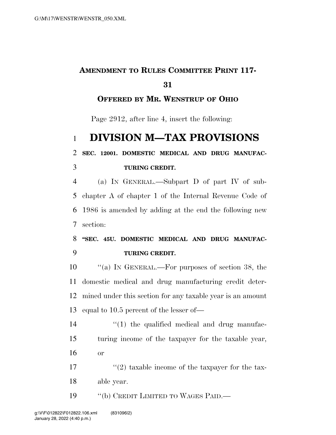### **AMENDMENT TO RULES COMMITTEE PRINT 117-**

#### **OFFERED BY MR. WENSTRUP OF OHIO**

Page 2912, after line 4, insert the following:

# **DIVISION M—TAX PROVISIONS**

## **SEC. 12001. DOMESTIC MEDICAL AND DRUG MANUFAC-TURING CREDIT.**

 (a) IN GENERAL.—Subpart D of part IV of sub- chapter A of chapter 1 of the Internal Revenue Code of 1986 is amended by adding at the end the following new section:

 **''SEC. 45U. DOMESTIC MEDICAL AND DRUG MANUFAC-TURING CREDIT.** 

 ''(a) IN GENERAL.—For purposes of section 38, the domestic medical and drug manufacturing credit deter- mined under this section for any taxable year is an amount equal to 10.5 percent of the lesser of—

14  $\frac{1}{2}$  (1) the qualified medical and drug manufac- turing income of the taxpayer for the taxable year, or

17  $\frac{17}{2}$  taxable income of the taxpayer for the tax-able year.

19 "(b) CREDIT LIMITED TO WAGES PAID.—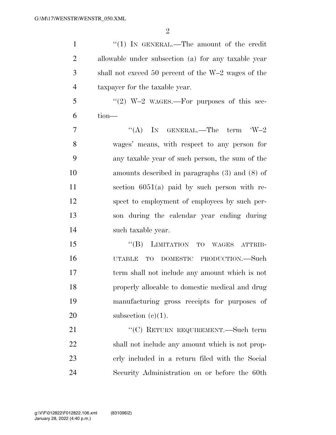1 "'(1) In GENERAL.—The amount of the credit allowable under subsection (a) for any taxable year shall not exceed 50 percent of the W–2 wages of the taxpayer for the taxable year. "(2) W–2 WAGES.—For purposes of this sec- tion—  $7 \t\t\t\t\t\t''(A)$  In GENERAL.—The term  $W-2$  wages' means, with respect to any person for any taxable year of such person, the sum of the amounts described in paragraphs (3) and (8) of section 6051(a) paid by such person with re- spect to employment of employees by such per- son during the calendar year ending during such taxable year. 15 "(B) LIMITATION TO WAGES ATTRIB- UTABLE TO DOMESTIC PRODUCTION.—Such term shall not include any amount which is not properly allocable to domestic medical and drug manufacturing gross receipts for purposes of 20 subsection  $(e)(1)$ . 21 "'(C) RETURN REQUIREMENT.—Such term shall not include any amount which is not prop- erly included in a return filed with the Social Security Administration on or before the 60th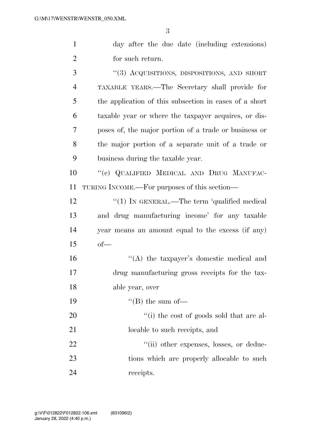| $\mathbf{1}$   | day after the due date (including extensions)          |
|----------------|--------------------------------------------------------|
| $\overline{2}$ | for such return.                                       |
| 3              | "(3) ACQUISITIONS, DISPOSITIONS, AND SHORT             |
| $\overline{4}$ | TAXABLE YEARS.—The Secretary shall provide for         |
| 5              | the application of this subsection in cases of a short |
| 6              | taxable year or where the taxpayer acquires, or dis-   |
| 7              | poses of, the major portion of a trade or business or  |
| 8              | the major portion of a separate unit of a trade or     |
| 9              | business during the taxable year.                      |
| 10             | "(c) QUALIFIED MEDICAL AND DRUG MANUFAC-               |
| 11             | TURING INCOME.—For purposes of this section—           |
| 12             | "(1) IN GENERAL.—The term 'qualified medical           |
| 13             | and drug manufacturing income' for any taxable         |
| 14             | year means an amount equal to the excess (if any)      |
| 15             | $of-$                                                  |
| 16             | "(A) the taxpayer's domestic medical and               |
| 17             | drug manufacturing gross receipts for the tax-         |
| 18             | able year, over                                        |
| 19             | $\lq\lq (B)$ the sum of-                               |
| 20             | "(i) the cost of goods sold that are al-               |
| 21             | locable to such receipts, and                          |
| 22             | "(ii) other expenses, losses, or deduc-                |
| 23             | tions which are properly allocable to such             |

receipts.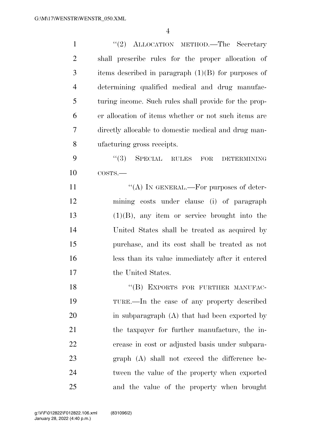| $\mathbf{1}$   | "(2) ALLOCATION METHOD.—The Secretary                 |
|----------------|-------------------------------------------------------|
| $\overline{2}$ | shall prescribe rules for the proper allocation of    |
| 3              | items described in paragraph $(1)(B)$ for purposes of |
| $\overline{4}$ | determining qualified medical and drug manufac-       |
| 5              | turing income. Such rules shall provide for the prop- |
| 6              | er allocation of items whether or not such items are  |
| 7              | directly allocable to domestic medical and drug man-  |
| 8              | ufacturing gross receipts.                            |
| 9              | (3)<br>SPECIAL RULES FOR<br><b>DETERMINING</b>        |
| 10             | COSTS.                                                |
| 11             | "(A) IN GENERAL.—For purposes of deter-               |
| 12             | mining costs under clause (i) of paragraph            |
| 13             | $(1)(B)$ , any item or service brought into the       |
| 14             | United States shall be treated as acquired by         |
| 15             | purchase, and its cost shall be treated as not        |
| 16             | less than its value immediately after it entered      |
| 17             | the United States.                                    |
| 18             | "(B) EXPORTS FOR FURTHER MANUFAC-                     |
| 19             | TURE.—In the case of any property described           |
| 20             | in subparagraph $(A)$ that had been exported by       |
| 21             | the taxpayer for further manufacture, the in-         |
| 22             | crease in cost or adjusted basis under subpara-       |
| 23             | $graph(A)$ shall not exceed the difference be-        |
| 24             | tween the value of the property when exported         |
| 25             | and the value of the property when brought            |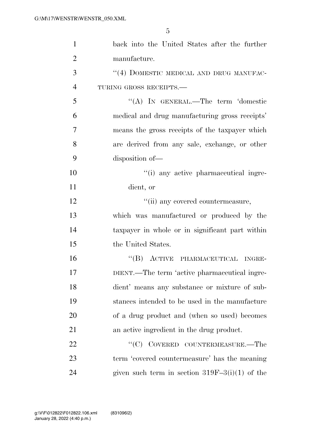| $\mathbf{1}$   | back into the United States after the further    |
|----------------|--------------------------------------------------|
| $\overline{2}$ | manufacture.                                     |
| 3              | "(4) DOMESTIC MEDICAL AND DRUG MANUFAC-          |
| $\overline{4}$ | TURING GROSS RECEIPTS.                           |
| 5              | "(A) IN GENERAL.—The term 'domestic              |
| 6              | medical and drug manufacturing gross receipts'   |
| 7              | means the gross receipts of the taxpayer which   |
| 8              | are derived from any sale, exchange, or other    |
| 9              | disposition of-                                  |
| 10             | "(i) any active pharmaceutical ingre-            |
| 11             | dient, or                                        |
| 12             | "(ii) any covered countermeasure,                |
| 13             | which was manufactured or produced by the        |
| 14             | taxpayer in whole or in significant part within  |
| 15             | the United States.                               |
| 16             | "(B) ACTIVE PHARMACEUTICAL INGRE-                |
| 17             | DIENT.—The term 'active pharmaceutical ingre-    |
| 18             | dient' means any substance or mixture of sub-    |
| 19             | stances intended to be used in the manufacture   |
| 20             | of a drug product and (when so used) becomes     |
| 21             | an active ingredient in the drug product.        |
| 22             | "(C) COVERED COUNTERMEASURE.—The                 |
| 23             | term 'covered countermeasure' has the meaning    |
| 24             | given such term in section $319F-3(i)(1)$ of the |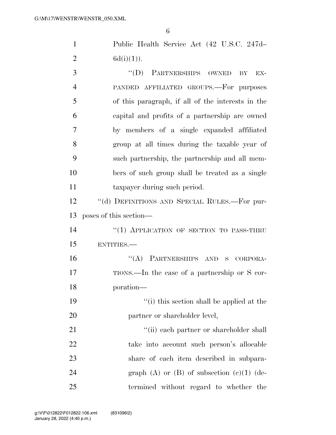Public Health Service Act (42 U.S.C. 247d– 2  $6d(i)(1)$ .

3 "(D) PARTNERSHIPS OWNED BY EX- PANDED AFFILIATED GROUPS.—For purposes of this paragraph, if all of the interests in the capital and profits of a partnership are owned by members of a single expanded affiliated group at all times during the taxable year of such partnership, the partnership and all mem- bers of such group shall be treated as a single taxpayer during such period. ''(d) DEFINITIONS AND SPECIAL RULES.—For pur- poses of this section— 14 "(1) APPLICATION OF SECTION TO PASS-THRU ENTITIES.— ''(A) PARTNERSHIPS AND S CORPORA- TIONS.—In the case of a partnership or S cor- poration— ''(i) this section shall be applied at the 20 partner or shareholder level, 21 ''(ii) each partner or shareholder shall take into account such person's allocable share of each item described in subpara-24 graph (A) or  $(B)$  of subsection  $(e)(1)$  (de-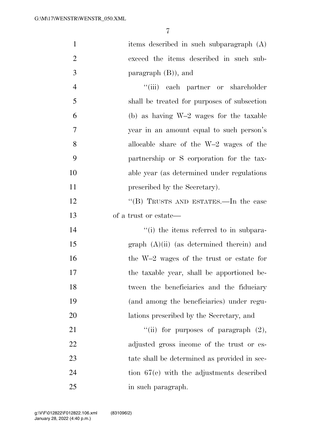| $\mathbf{1}$   | items described in such subparagraph (A)     |
|----------------|----------------------------------------------|
| $\overline{2}$ | exceed the items described in such sub-      |
| 3              | paragraph $(B)$ ), and                       |
| $\overline{4}$ | "(iii) each partner or shareholder           |
| 5              | shall be treated for purposes of subsection  |
| 6              | (b) as having $W-2$ wages for the taxable    |
| 7              | year in an amount equal to such person's     |
| 8              | allocable share of the $W-2$ wages of the    |
| 9              | partnership or S corporation for the tax-    |
| 10             | able year (as determined under regulations)  |
| 11             | prescribed by the Secretary).                |
| 12             | "(B) TRUSTS AND ESTATES.—In the case         |
| 13             | of a trust or estate—                        |
| 14             | "(i) the items referred to in subpara-       |
| 15             | $graph (A)(ii)$ (as determined therein) and  |
| 16             | the W-2 wages of the trust or estate for     |
| 17             | the taxable year, shall be apportioned be-   |
| 18             | tween the beneficiaries and the fiduciary    |
| 19             | (and among the beneficiaries) under regu-    |
| 20             | lations prescribed by the Secretary, and     |
| 21             | "(ii) for purposes of paragraph $(2)$ ,      |
| 22             | adjusted gross income of the trust or es-    |
| 23             | tate shall be determined as provided in sec- |
| 24             | tion $67(e)$ with the adjustments described  |
| 25             | in such paragraph.                           |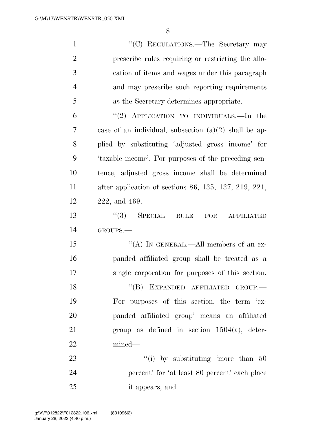| $\mathbf{1}$   | "(C) REGULATIONS.—The Secretary may                     |
|----------------|---------------------------------------------------------|
| $\overline{2}$ | prescribe rules requiring or restricting the allo-      |
| 3              | cation of items and wages under this paragraph          |
| $\overline{4}$ | and may prescribe such reporting requirements           |
| 5              | as the Secretary determines appropriate.                |
| 6              | "(2) APPLICATION TO INDIVIDUALS.—In the                 |
| 7              | case of an individual, subsection $(a)(2)$ shall be ap- |
| 8              | plied by substituting 'adjusted gross income' for       |
| 9              | 'taxable income'. For purposes of the preceding sen-    |
| 10             | tence, adjusted gross income shall be determined        |
| 11             | after application of sections 86, 135, 137, 219, 221,   |
| 12             | 222, and 469.                                           |
| 13             | $(3)$ SPECIAL<br>RULE<br>FOR<br><b>AFFILIATED</b>       |
| 14             | GROUPS.                                                 |
| 15             | "(A) IN GENERAL.—All members of an ex-                  |
| 16             | panded affiliated group shall be treated as a           |
| 17             | single corporation for purposes of this section.        |
| 18             | "(B) EXPANDED AFFILIATED GROUP.—                        |
| 19             | For purposes of this section, the term 'ex-             |
| 20             | panded affiliated group' means an affiliated            |
| 21             | group as defined in section $1504(a)$ , deter-          |
| 22             | mined—                                                  |
| 23             | "(i) by substituting 'more than $50$                    |
| 24             | percent' for 'at least 80 percent' each place           |
| 25             | it appears, and                                         |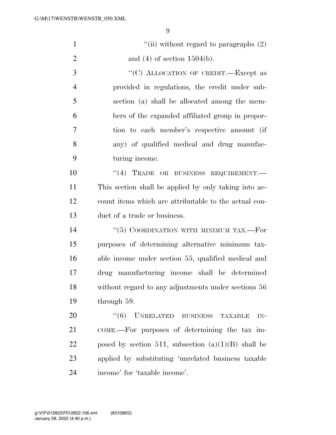| $\mathbf{1}$   | "(ii) without regard to paragraphs $(2)$              |
|----------------|-------------------------------------------------------|
| $\overline{2}$ | and $(4)$ of section 1504(b).                         |
| 3              | "(C) ALLOCATION OF CREDIT.—Except as                  |
| $\overline{4}$ | provided in regulations, the credit under sub-        |
| 5              | section (a) shall be allocated among the mem-         |
| 6              | bers of the expanded affiliated group in propor-      |
| 7              | tion to each member's respective amount (if           |
| 8              | any) of qualified medical and drug manufac-           |
| 9              | turing income.                                        |
| 10             | "(4) TRADE OR BUSINESS REQUIREMENT.-                  |
| 11             | This section shall be applied by only taking into ac- |
| 12             | count items which are attributable to the actual con- |
| 13             | duct of a trade or business.                          |
| 14             | " $(5)$ COORDINATION WITH MINIMUM TAX.—For            |
| 15             | purposes of determining alternative minimum tax-      |
| 16             | able income under section 55, qualified medical and   |
| 17             | drug manufacturing income shall be determined         |
| 18             | without regard to any adjustments under sections 56   |
| 19             | through 59.                                           |
| 20             | $``(6)$ UNRELATED BUSINESS<br><b>TAXABLE</b><br>$IN-$ |
| 21             | COME.—For purposes of determining the tax im-         |
| 22             | posed by section 511, subsection $(a)(1)(B)$ shall be |
| 23             | applied by substituting 'unrelated business taxable   |
| 24             | income' for 'taxable income'.                         |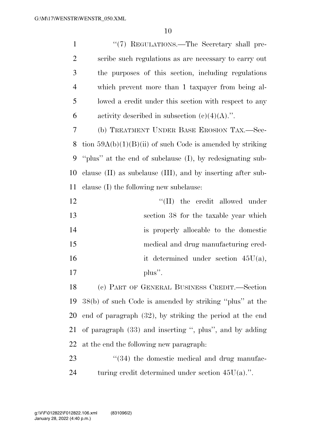| $\mathbf{1}$   | "(7) REGULATIONS.—The Secretary shall pre-                       |
|----------------|------------------------------------------------------------------|
| $\overline{2}$ | scribe such regulations as are necessary to carry out            |
| 3              | the purposes of this section, including regulations              |
| $\overline{4}$ | which prevent more than 1 taxpayer from being al-                |
| 5              | lowed a credit under this section with respect to any            |
| 6              | activity described in subsection $(c)(4)(A)$ .".                 |
| $\tau$         | (b) TREATMENT UNDER BASE EROSION TAX.—Sec-                       |
| 8              | tion $59A(b)(1)(B)(ii)$ of such Code is amended by striking      |
| 9              | "plus" at the end of subclause (I), by redesignating sub-        |
| 10             | clause $(II)$ as subclause $(III)$ , and by inserting after sub- |
| 11             | clause (I) the following new subclause:                          |
| 12             | $\lq\lq$ (II) the credit allowed under                           |
| 13             | section 38 for the taxable year which                            |
| 14             | is properly allocable to the domestic                            |
| 15             | medical and drug manufacturing cred-                             |
| 16             | it determined under section $45U(a)$ ,                           |
| 17             | plus".                                                           |
| 18             | (c) PART OF GENERAL BUSINESS CREDIT.—Section                     |
| 19             | 38(b) of such Code is amended by striking "plus" at the          |
| 20             | end of paragraph $(32)$ , by striking the period at the end      |
| 21             | of paragraph $(33)$ and inserting ", plus", and by adding        |
| 22             | at the end the following new paragraph:                          |
| 23             | $\cdot\cdot(34)$ the domestic medical and drug manufac-          |
|                |                                                                  |

turing credit determined under section 45U(a).''.